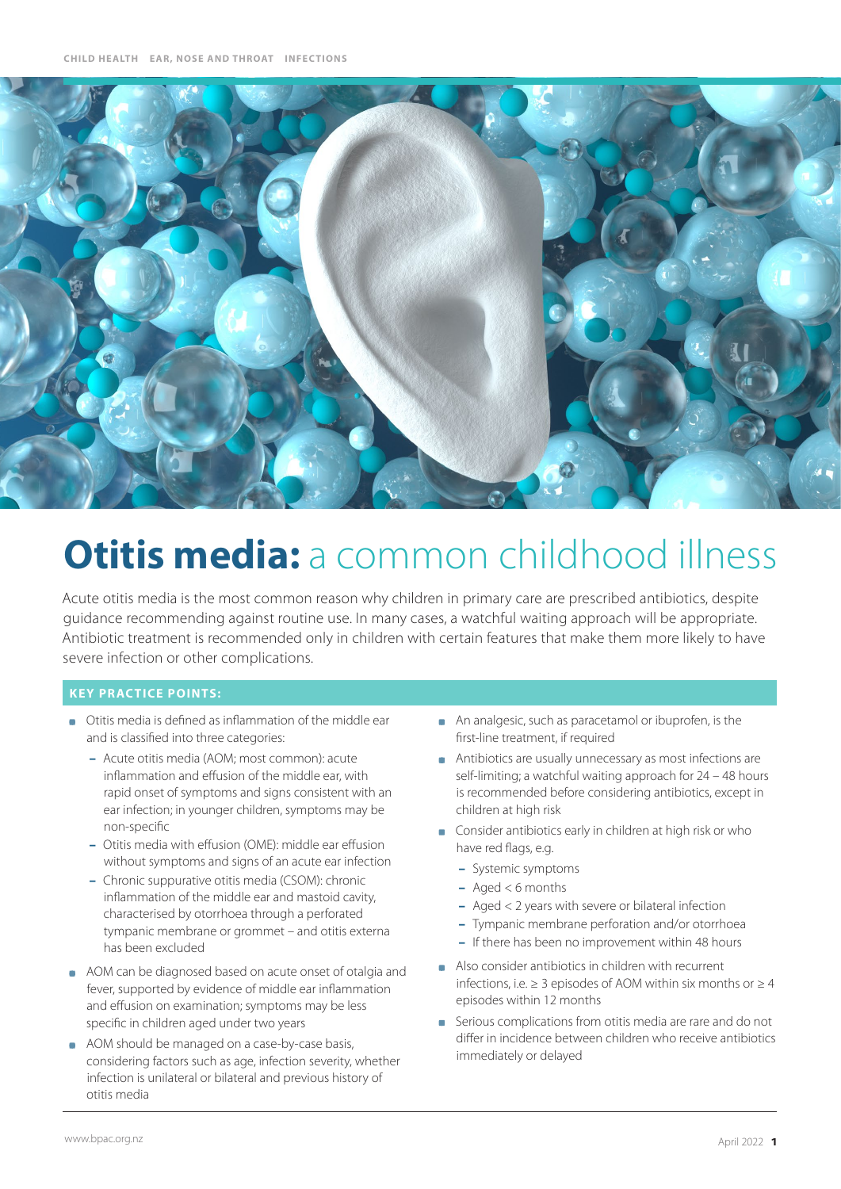

# **Otitis media:** a common childhood illness

Acute otitis media is the most common reason why children in primary care are prescribed antibiotics, despite guidance recommending against routine use. In many cases, a watchful waiting approach will be appropriate. Antibiotic treatment is recommended only in children with certain features that make them more likely to have severe infection or other complications.

## **KEY PRACTICE POINTS:**

- Otitis media is defined as inflammation of the middle ear and is classified into three categories:
	- Acute otitis media (AOM; most common): acute inflammation and effusion of the middle ear, with rapid onset of symptoms and signs consistent with an ear infection; in younger children, symptoms may be non-specific
	- Otitis media with effusion (OME): middle ear effusion without symptoms and signs of an acute ear infection
	- Chronic suppurative otitis media (CSOM): chronic inflammation of the middle ear and mastoid cavity, characterised by otorrhoea through a perforated tympanic membrane or grommet – and otitis externa has been excluded
- AOM can be diagnosed based on acute onset of otalgia and fever, supported by evidence of middle ear inflammation and effusion on examination; symptoms may be less specific in children aged under two years
- AOM should be managed on a case-by-case basis, considering factors such as age, infection severity, whether infection is unilateral or bilateral and previous history of otitis media
- An analgesic, such as paracetamol or ibuprofen, is the first-line treatment, if required
- Antibiotics are usually unnecessary as most infections are self-limiting; a watchful waiting approach for 24 – 48 hours is recommended before considering antibiotics, except in children at high risk
- **Consider antibiotics early in children at high risk or who** have red flags, e.g.
	- Systemic symptoms
	- $-$  Aged < 6 months
	- Aged < 2 years with severe or bilateral infection
	- Tympanic membrane perforation and/or otorrhoea
	- If there has been no improvement within 48 hours
- Also consider antibiotics in children with recurrent infections, i.e.  $> 3$  episodes of AOM within six months or  $> 4$ episodes within 12 months
- Serious complications from otitis media are rare and do not differ in incidence between children who receive antibiotics immediately or delayed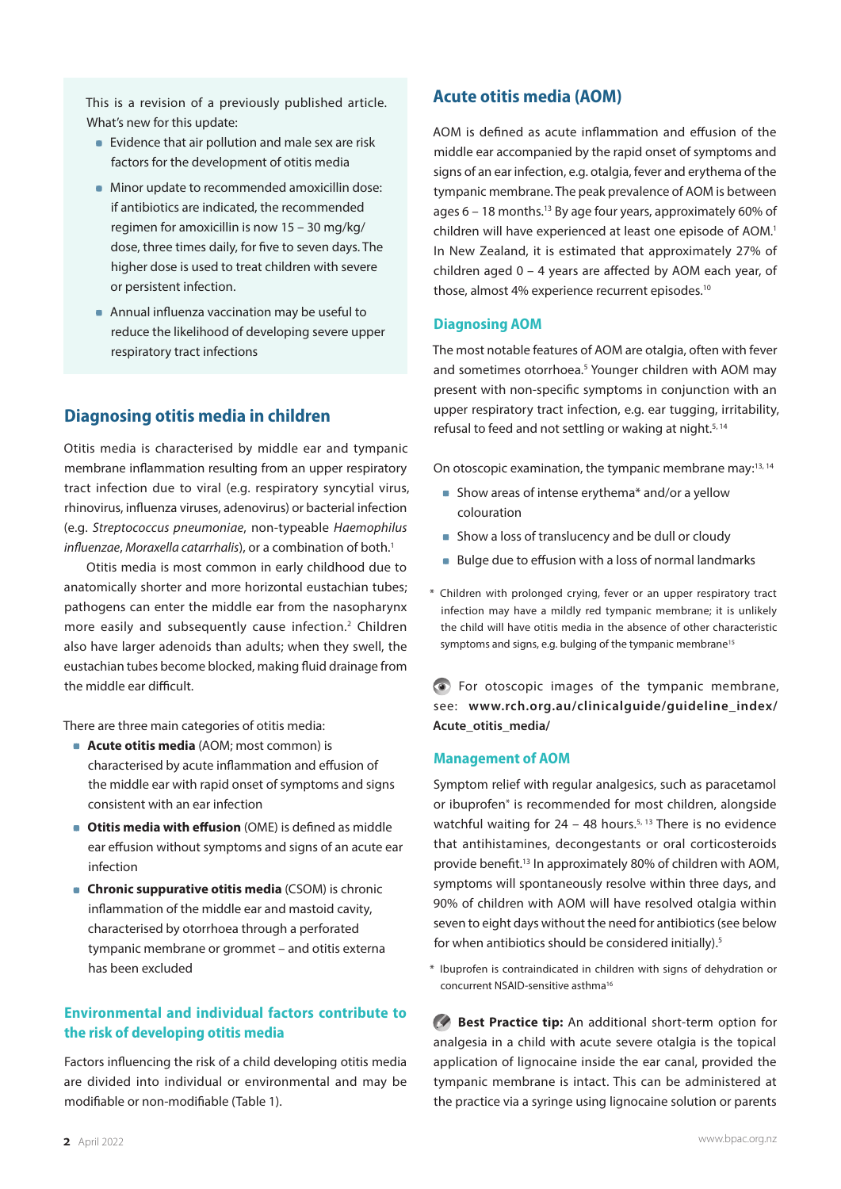This is a revision of a previously published article. What's new for this update:

- **Evidence that air pollution and male sex are risk** factors for the development of otitis media
- **Minor update to recommended amoxicillin dose:** if antibiotics are indicated, the recommended regimen for amoxicillin is now 15 – 30 mg/kg/ dose, three times daily, for five to seven days. The higher dose is used to treat children with severe or persistent infection.
- **Annual influenza vaccination may be useful to** reduce the likelihood of developing severe upper respiratory tract infections

# **Diagnosing otitis media in children**

Otitis media is characterised by middle ear and tympanic membrane inflammation resulting from an upper respiratory tract infection due to viral (e.g. respiratory syncytial virus, rhinovirus, influenza viruses, adenovirus) or bacterial infection (e.g. *Streptococcus pneumoniae*, non-typeable *Haemophilus influenzae, Moraxella catarrhalis*), or a combination of both.<sup>1</sup>

Otitis media is most common in early childhood due to anatomically shorter and more horizontal eustachian tubes; pathogens can enter the middle ear from the nasopharynx more easily and subsequently cause infection.<sup>2</sup> Children also have larger adenoids than adults; when they swell, the eustachian tubes become blocked, making fluid drainage from the middle ear difficult.

There are three main categories of otitis media:

- **Acute otitis media** (AOM; most common) is characterised by acute inflammation and effusion of the middle ear with rapid onset of symptoms and signs consistent with an ear infection
- **Otitis media with effusion** (OME) is defined as middle ear effusion without symptoms and signs of an acute ear infection
- **Chronic suppurative otitis media** (CSOM) is chronic inflammation of the middle ear and mastoid cavity, characterised by otorrhoea through a perforated tympanic membrane or grommet – and otitis externa has been excluded

# **Environmental and individual factors contribute to the risk of developing otitis media**

Factors influencing the risk of a child developing otitis media are divided into individual or environmental and may be modifiable or non-modifiable (Table 1).

# **Acute otitis media (AOM)**

AOM is defined as acute inflammation and effusion of the middle ear accompanied by the rapid onset of symptoms and signs of an ear infection, e.g. otalgia, fever and erythema of the tympanic membrane. The peak prevalence of AOM is between ages  $6 - 18$  months.<sup>13</sup> By age four years, approximately 60% of children will have experienced at least one episode of AOM.<sup>1</sup> In New Zealand, it is estimated that approximately 27% of children aged 0 – 4 years are affected by AOM each year, of those, almost 4% experience recurrent episodes.<sup>10</sup>

#### **Diagnosing AOM**

The most notable features of AOM are otalgia, often with fever and sometimes otorrhoea.<sup>5</sup> Younger children with AOM may present with non-specific symptoms in conjunction with an upper respiratory tract infection, e.g. ear tugging, irritability, refusal to feed and not settling or waking at night.5, 14

On otoscopic examination, the tympanic membrane may:<sup>13, 14</sup>

- Show areas of intense erythema<sup>\*</sup> and/or a yellow colouration
- **Show a loss of translucency and be dull or cloudy**
- Bulge due to effusion with a loss of normal landmarks
- \* Children with prolonged crying, fever or an upper respiratory tract infection may have a mildly red tympanic membrane; it is unlikely the child will have otitis media in the absence of other characteristic symptoms and signs, e.g. bulging of the tympanic membrane<sup>15</sup>

For otoscopic images of the tympanic membrane, see: **[www.rch.org.au/clinicalguide/guideline\\_index/](https://www.rch.org.au/clinicalguide/guideline_index/Acute_otitis_media/) [Acute\\_otitis\\_media/](https://www.rch.org.au/clinicalguide/guideline_index/Acute_otitis_media/)**

#### **Management of AOM**

Symptom relief with regular analgesics, such as paracetamol or ibuprofen\* is recommended for most children, alongside watchful waiting for  $24 - 48$  hours.<sup>5, 13</sup> There is no evidence that antihistamines, decongestants or oral corticosteroids provide benefit.13 In approximately 80% of children with AOM, symptoms will spontaneously resolve within three days, and 90% of children with AOM will have resolved otalgia within seven to eight days without the need for antibiotics (see below for when antibiotics should be considered initially).<sup>5</sup>

\* Ibuprofen is contraindicated in children with signs of dehydration or concurrent NSAID-sensitive asthma16

**Best Practice tip:** An additional short-term option for analgesia in a child with acute severe otalgia is the topical application of lignocaine inside the ear canal, provided the tympanic membrane is intact. This can be administered at the practice via a syringe using lignocaine solution or parents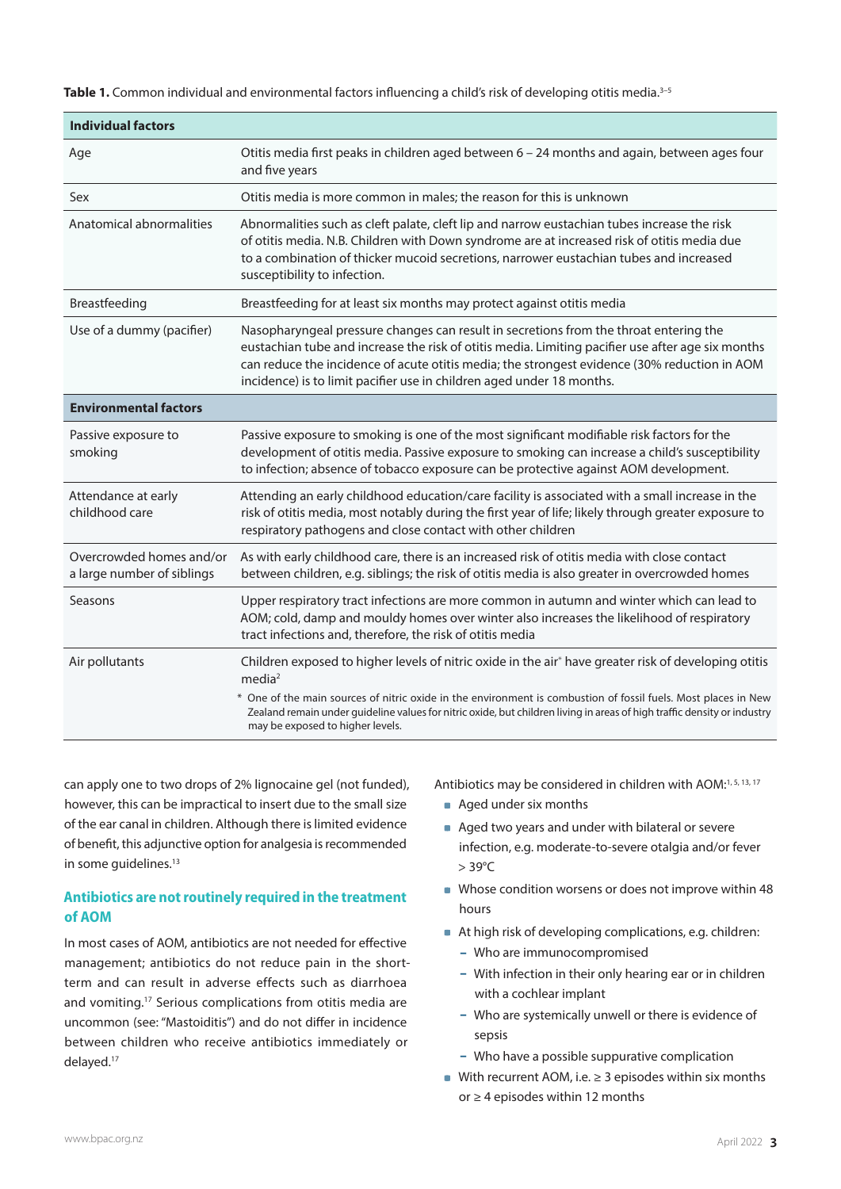**Table 1.** Common individual and environmental factors influencing a child's risk of developing otitis media.3–5

| <b>Individual factors</b>                              |                                                                                                                                                                                                                                                                                                                                                                     |
|--------------------------------------------------------|---------------------------------------------------------------------------------------------------------------------------------------------------------------------------------------------------------------------------------------------------------------------------------------------------------------------------------------------------------------------|
| Age                                                    | Otitis media first peaks in children aged between 6 - 24 months and again, between ages four<br>and five years                                                                                                                                                                                                                                                      |
| Sex                                                    | Otitis media is more common in males; the reason for this is unknown                                                                                                                                                                                                                                                                                                |
| Anatomical abnormalities                               | Abnormalities such as cleft palate, cleft lip and narrow eustachian tubes increase the risk<br>of otitis media. N.B. Children with Down syndrome are at increased risk of otitis media due<br>to a combination of thicker mucoid secretions, narrower eustachian tubes and increased<br>susceptibility to infection.                                                |
| Breastfeeding                                          | Breastfeeding for at least six months may protect against otitis media                                                                                                                                                                                                                                                                                              |
| Use of a dummy (pacifier)                              | Nasopharyngeal pressure changes can result in secretions from the throat entering the<br>eustachian tube and increase the risk of otitis media. Limiting pacifier use after age six months<br>can reduce the incidence of acute otitis media; the strongest evidence (30% reduction in AOM<br>incidence) is to limit pacifier use in children aged under 18 months. |
| <b>Environmental factors</b>                           |                                                                                                                                                                                                                                                                                                                                                                     |
| Passive exposure to<br>smoking                         | Passive exposure to smoking is one of the most significant modifiable risk factors for the<br>development of otitis media. Passive exposure to smoking can increase a child's susceptibility<br>to infection; absence of tobacco exposure can be protective against AOM development.                                                                                |
| Attendance at early<br>childhood care                  | Attending an early childhood education/care facility is associated with a small increase in the<br>risk of otitis media, most notably during the first year of life; likely through greater exposure to<br>respiratory pathogens and close contact with other children                                                                                              |
| Overcrowded homes and/or<br>a large number of siblings | As with early childhood care, there is an increased risk of otitis media with close contact<br>between children, e.g. siblings; the risk of otitis media is also greater in overcrowded homes                                                                                                                                                                       |
| Seasons                                                | Upper respiratory tract infections are more common in autumn and winter which can lead to<br>AOM; cold, damp and mouldy homes over winter also increases the likelihood of respiratory<br>tract infections and, therefore, the risk of otitis media                                                                                                                 |
| Air pollutants                                         | Children exposed to higher levels of nitric oxide in the air* have greater risk of developing otitis<br>media <sup>2</sup>                                                                                                                                                                                                                                          |
|                                                        | * One of the main sources of nitric oxide in the environment is combustion of fossil fuels. Most places in New<br>Zealand remain under guideline values for nitric oxide, but children living in areas of high traffic density or industry<br>may be exposed to higher levels.                                                                                      |

can apply one to two drops of 2% lignocaine gel (not funded), however, this can be impractical to insert due to the small size of the ear canal in children. Although there is limited evidence of benefit, this adjunctive option for analgesia is recommended in some quidelines.<sup>13</sup>

# **Antibiotics are not routinely required in the treatment of AOM**

In most cases of AOM, antibiotics are not needed for effective management; antibiotics do not reduce pain in the shortterm and can result in adverse effects such as diarrhoea and vomiting.17 Serious complications from otitis media are uncommon (see: "Mastoiditis") and do not differ in incidence between children who receive antibiotics immediately or delayed.17

Antibiotics may be considered in children with AOM:<sup>1, 5, 13, 17</sup>

- Aged under six months
- Aged two years and under with bilateral or severe infection, e.g. moderate-to-severe otalgia and/or fever > 39°C
- Whose condition worsens or does not improve within 48 hours
- At high risk of developing complications, e.g. children:
	- Who are immunocompromised
	- With infection in their only hearing ear or in children with a cochlear implant
	- Who are systemically unwell or there is evidence of sepsis
	- Who have a possible suppurative complication
- With recurrent AOM, i.e.  $\geq$  3 episodes within six months or ≥ 4 episodes within 12 months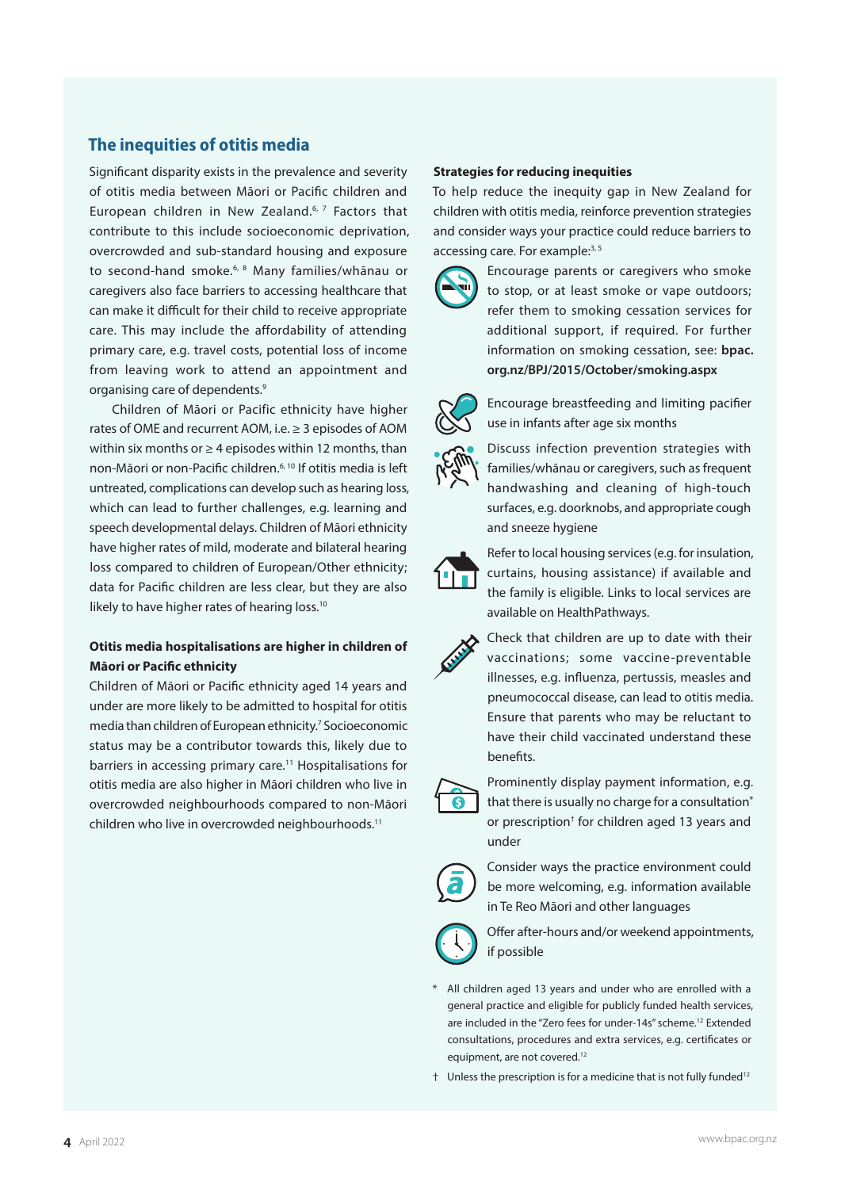# **The inequities of otitis media**

Significant disparity exists in the prevalence and severity of otitis media between Māori or Pacific children and European children in New Zealand.<sup>6, 7</sup> Factors that contribute to this include socioeconomic deprivation, overcrowded and sub-standard housing and exposure to second-hand smoke.<sup>6, 8</sup> Many families/whānau or caregivers also face barriers to accessing healthcare that can make it difficult for their child to receive appropriate care. This may include the affordability of attending primary care, e.g. travel costs, potential loss of income from leaving work to attend an appointment and organising care of dependents.9

Children of Māori or Pacific ethnicity have higher rates of OME and recurrent AOM, i.e. ≥ 3 episodes of AOM within six months or  $\geq 4$  episodes within 12 months, than non-Māori or non-Pacific children.<sup>6, 10</sup> If otitis media is left untreated, complications can develop such as hearing loss, which can lead to further challenges, e.g. learning and speech developmental delays. Children of Māori ethnicity have higher rates of mild, moderate and bilateral hearing loss compared to children of European/Other ethnicity; data for Pacific children are less clear, but they are also likely to have higher rates of hearing loss.<sup>10</sup>

## **Otitis media hospitalisations are higher in children of Māori or Pacific ethnicity**

Children of Māori or Pacific ethnicity aged 14 years and under are more likely to be admitted to hospital for otitis media than children of European ethnicity.7 Socioeconomic status may be a contributor towards this, likely due to barriers in accessing primary care.<sup>11</sup> Hospitalisations for otitis media are also higher in Māori children who live in overcrowded neighbourhoods compared to non-Māori children who live in overcrowded neighbourhoods.<sup>11</sup>

#### **Strategies for reducing inequities**

To help reduce the inequity gap in New Zealand for children with otitis media, reinforce prevention strategies and consider ways your practice could reduce barriers to accessing care. For example:<sup>3, 5</sup>



Encourage parents or caregivers who smoke to stop, or at least smoke or vape outdoors; refer them to smoking cessation services for additional support, if required. For further information on smoking cessation, see: **[bpac.](https://bpac.org.nz/BPJ/2015/October/smoking.aspx) [org.nz/BPJ/2015/October/smoking.aspx](https://bpac.org.nz/BPJ/2015/October/smoking.aspx)**



Encourage breastfeeding and limiting pacifier use in infants after age six months

Discuss infection prevention strategies with families/whānau or caregivers, such as frequent handwashing and cleaning of high-touch surfaces, e.g. doorknobs, and appropriate cough and sneeze hygiene



Refer to local housing services (e.g. for insulation, curtains, housing assistance) if available and the family is eligible. Links to local services are available on HealthPathways.



Check that children are up to date with their vaccinations; some vaccine-preventable illnesses, e.g. influenza, pertussis, measles and pneumococcal disease, can lead to otitis media. Ensure that parents who may be reluctant to have their child vaccinated understand these benefits.



Prominently display payment information, e.g. that there is usually no charge for a consultation\* or prescription† for children aged 13 years and under



Consider ways the practice environment could be more welcoming, e.g. information available in Te Reo Māori and other languages



Offer after-hours and/or weekend appointments, if possible

- \* All children aged 13 years and under who are enrolled with a general practice and eligible for publicly funded health services, are included in the "Zero fees for under-14s" scheme.<sup>12</sup> Extended consultations, procedures and extra services, e.g. certificates or equipment, are not covered.<sup>12</sup>
- † Unless the prescription is for a medicine that is not fully funded12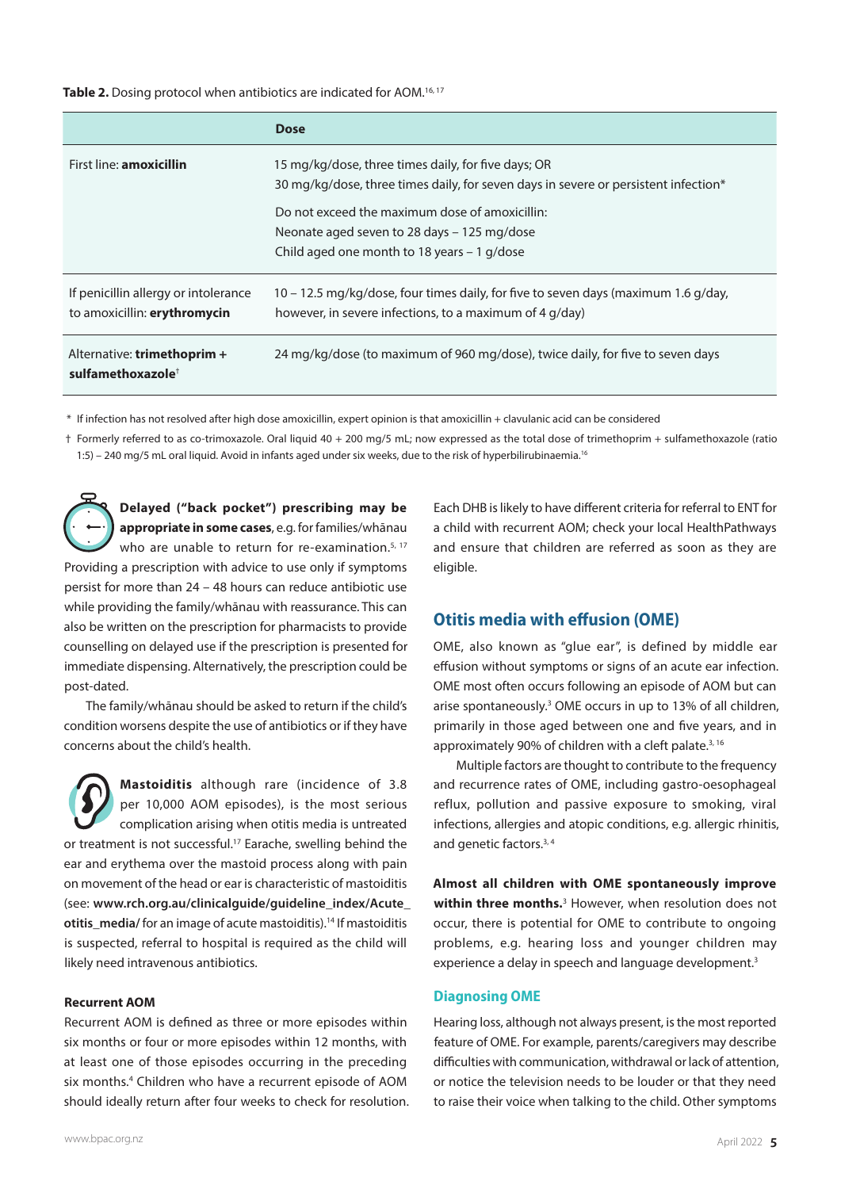Table 2. Dosing protocol when antibiotics are indicated for AOM.<sup>16, 17</sup>

|                                                                      | <b>Dose</b>                                                                                                                                   |
|----------------------------------------------------------------------|-----------------------------------------------------------------------------------------------------------------------------------------------|
| First line: <b>amoxicillin</b>                                       | 15 mg/kg/dose, three times daily, for five days; OR<br>30 mg/kg/dose, three times daily, for seven days in severe or persistent infection*    |
|                                                                      | Do not exceed the maximum dose of amoxicillin:<br>Neonate aged seven to 28 days – 125 mg/dose<br>Child aged one month to 18 years $-1$ g/dose |
| If penicillin allergy or intolerance<br>to amoxicillin: erythromycin | 10 – 12.5 mg/kg/dose, four times daily, for five to seven days (maximum 1.6 g/day,<br>however, in severe infections, to a maximum of 4 g/day) |
| Alternative: trimethoprim +<br>sulfamethoxazole <sup>†</sup>         | 24 mg/kg/dose (to maximum of 960 mg/dose), twice daily, for five to seven days                                                                |

\* If infection has not resolved after high dose amoxicillin, expert opinion is that amoxicillin + clavulanic acid can be considered

† Formerly referred to as co-trimoxazole. Oral liquid 40 + 200 mg/5 mL; now expressed as the total dose of trimethoprim + sulfamethoxazole (ratio 1:5) – 240 mg/5 mL oral liquid. Avoid in infants aged under six weeks, due to the risk of hyperbilirubinaemia.16

**Delayed ("back pocket") prescribing may be appropriate in some cases**, e.g. for families/whānau who are unable to return for re-examination.<sup>5, 17</sup> Providing a prescription with advice to use only if symptoms persist for more than 24 – 48 hours can reduce antibiotic use while providing the family/whānau with reassurance. This can also be written on the prescription for pharmacists to provide counselling on delayed use if the prescription is presented for immediate dispensing. Alternatively, the prescription could be post-dated.

The family/whānau should be asked to return if the child's condition worsens despite the use of antibiotics or if they have concerns about the child's health.

**Mastoiditis** although rare (incidence of 3.8 per 10,000 AOM episodes), is the most serious complication arising when otitis media is untreated or treatment is not successful.<sup>17</sup> Earache, swelling behind the ear and erythema over the mastoid process along with pain on movement of the head or ear is characteristic of mastoiditis (see: **[www.rch.org.au/clinicalguide/guideline\\_index/Acute\\_](https://www.rch.org.au/clinicalguide/guideline_index/Acute_otitis_media/) otitis media/** for an image of acute mastoiditis).<sup>14</sup> If mastoiditis is suspected, referral to hospital is required as the child will likely need intravenous antibiotics.

#### **Recurrent AOM**

Recurrent AOM is defined as three or more episodes within six months or four or more episodes within 12 months, with at least one of those episodes occurring in the preceding six months.<sup>4</sup> Children who have a recurrent episode of AOM should ideally return after four weeks to check for resolution.

www.bpac.org.nz April 2022 **5**

Each DHB is likely to have different criteria for referral to ENT for a child with recurrent AOM; check your local HealthPathways and ensure that children are referred as soon as they are eligible.

## **Otitis media with effusion (OME)**

OME, also known as "glue ear", is defined by middle ear effusion without symptoms or signs of an acute ear infection. OME most often occurs following an episode of AOM but can arise spontaneously.<sup>3</sup> OME occurs in up to 13% of all children, primarily in those aged between one and five years, and in approximately 90% of children with a cleft palate.<sup>3, 16</sup>

Multiple factors are thought to contribute to the frequency and recurrence rates of OME, including gastro-oesophageal reflux, pollution and passive exposure to smoking, viral infections, allergies and atopic conditions, e.g. allergic rhinitis, and genetic factors.<sup>3,4</sup>

**Almost all children with OME spontaneously improve within three months.**<sup>3</sup> However, when resolution does not occur, there is potential for OME to contribute to ongoing problems, e.g. hearing loss and younger children may experience a delay in speech and language development.<sup>3</sup>

### **Diagnosing OME**

Hearing loss, although not always present, is the most reported feature of OME. For example, parents/caregivers may describe difficulties with communication, withdrawal or lack of attention, or notice the television needs to be louder or that they need to raise their voice when talking to the child. Other symptoms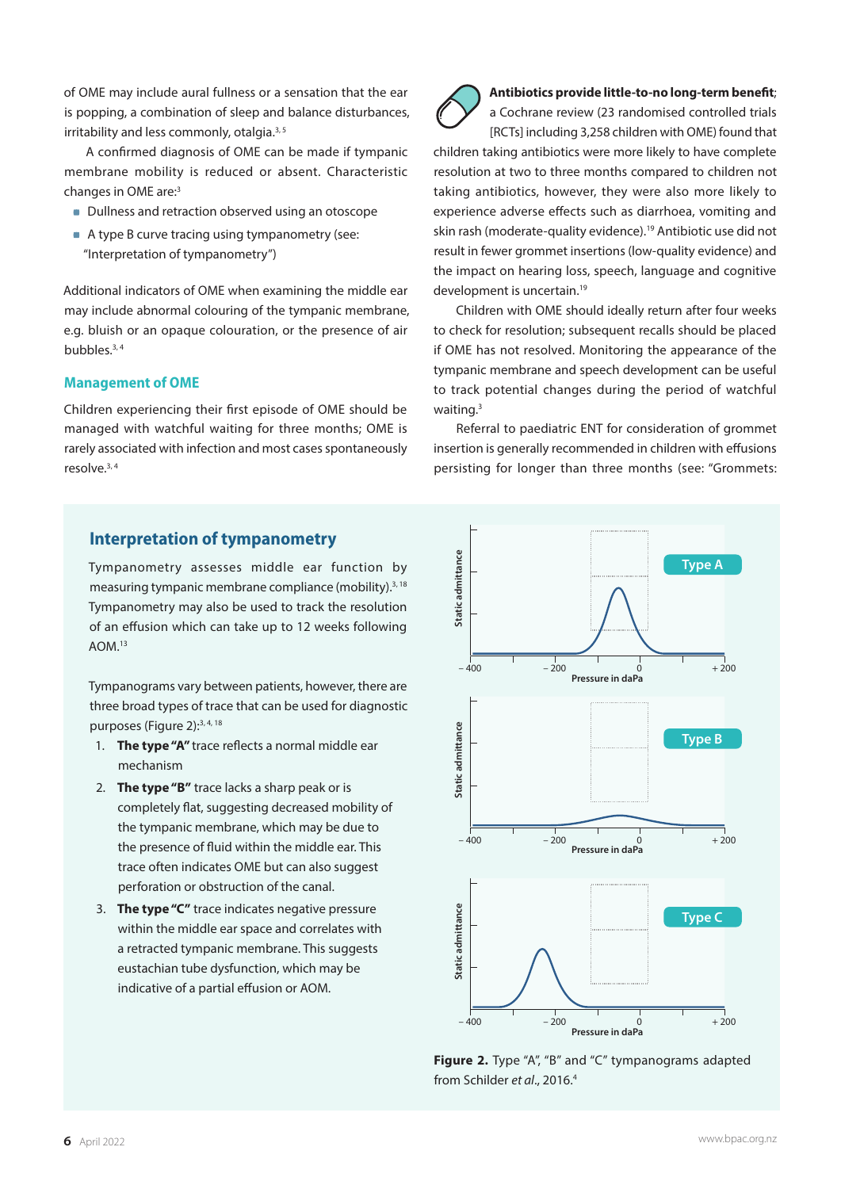of OME may include aural fullness or a sensation that the ear is popping, a combination of sleep and balance disturbances, irritability and less commonly, otalgia.<sup>3, 5</sup>

A confirmed diagnosis of OME can be made if tympanic membrane mobility is reduced or absent. Characteristic changes in OME are:3

- Dullness and retraction observed using an otoscope
- A type B curve tracing using tympanometry (see: "Interpretation of tympanometry")

Additional indicators of OME when examining the middle ear may include abnormal colouring of the tympanic membrane, e.g. bluish or an opaque colouration, or the presence of air bubbles.3, 4

## **Management of OME**

Children experiencing their first episode of OME should be managed with watchful waiting for three months; OME is rarely associated with infection and most cases spontaneously resolve.3, 4



a Cochrane review (23 randomised controlled trials [RCTs] including 3,258 children with OME) found that children taking antibiotics were more likely to have complete resolution at two to three months compared to children not taking antibiotics, however, they were also more likely to experience adverse effects such as diarrhoea, vomiting and skin rash (moderate-quality evidence).<sup>19</sup> Antibiotic use did not result in fewer grommet insertions (low-quality evidence) and the impact on hearing loss, speech, language and cognitive development is uncertain.19

Children with OME should ideally return after four weeks to check for resolution; subsequent recalls should be placed if OME has not resolved. Monitoring the appearance of the tympanic membrane and speech development can be useful to track potential changes during the period of watchful waiting.<sup>3</sup>

Referral to paediatric ENT for consideration of grommet insertion is generally recommended in children with effusions persisting for longer than three months (see: "Grommets:

# **Interpretation of tympanometry**

Tympanometry assesses middle ear function by measuring tympanic membrane compliance (mobility).3, 18 Tympanometry may also be used to track the resolution of an effusion which can take up to 12 weeks following AOM.13

Tympanograms vary between patients, however, there are three broad types of trace that can be used for diagnostic purposes (Figure 2):<sup>3, 4, 18</sup>

- 1. **The type "A"** trace reflects a normal middle ear mechanism
- 2. **The type "B"** trace lacks a sharp peak or is completely flat, suggesting decreased mobility of the tympanic membrane, which may be due to the presence of fluid within the middle ear. This trace often indicates OME but can also suggest perforation or obstruction of the canal.
- 3. **The type "C"** trace indicates negative pressure within the middle ear space and correlates with a retracted tympanic membrane. This suggests eustachian tube dysfunction, which may be indicative of a partial effusion or AOM.



**Figure 2.** Type "A", "B" and "C" tympanograms adapted from Schilder *et al*., 2016.4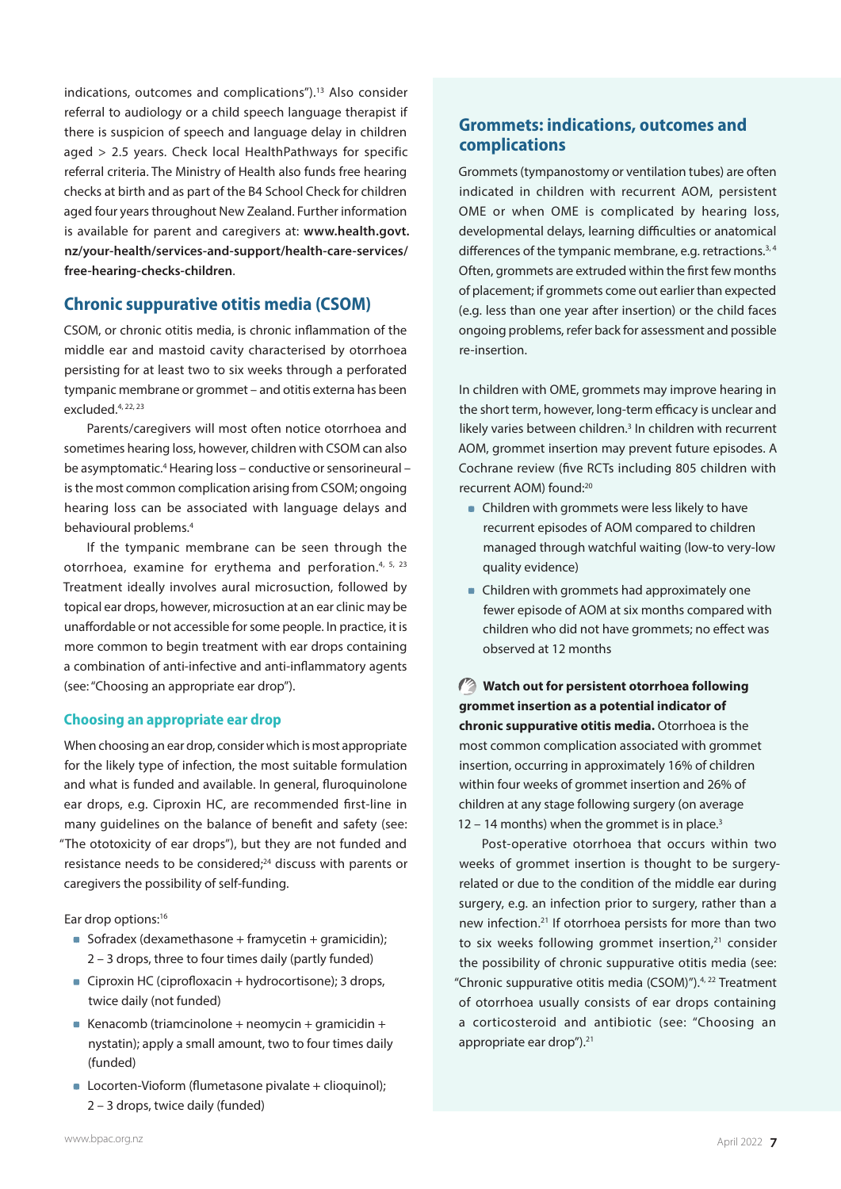indications, outcomes and complications").13 Also consider referral to audiology or a child speech language therapist if there is suspicion of speech and language delay in children aged > 2.5 years. Check local HealthPathways for specific referral criteria. The Ministry of Health also funds free hearing checks at birth and as part of the B4 School Check for children aged four years throughout New Zealand. Further information is available for parent and caregivers at: **[www.health.govt.](https://www.health.govt.nz/your-health/services-and-support/health-care-services/free-hearing-checks-children) [nz/your-health/services-and-support/health-care-services/](https://www.health.govt.nz/your-health/services-and-support/health-care-services/free-hearing-checks-children) [free-hearing-checks-children](https://www.health.govt.nz/your-health/services-and-support/health-care-services/free-hearing-checks-children)**.

# **Chronic suppurative otitis media (CSOM)**

CSOM, or chronic otitis media, is chronic inflammation of the middle ear and mastoid cavity characterised by otorrhoea persisting for at least two to six weeks through a perforated tympanic membrane or grommet – and otitis externa has been excluded.4, 22, 23

Parents/caregivers will most often notice otorrhoea and sometimes hearing loss, however, children with CSOM can also be asymptomatic.<sup>4</sup> Hearing loss - conductive or sensorineural is the most common complication arising from CSOM; ongoing hearing loss can be associated with language delays and behavioural problems.4

If the tympanic membrane can be seen through the otorrhoea, examine for erythema and perforation.4, 5, 23 Treatment ideally involves aural microsuction, followed by topical ear drops, however, microsuction at an ear clinic may be unaffordable or not accessible for some people. In practice, it is more common to begin treatment with ear drops containing a combination of anti-infective and anti-inflammatory agents (see: "Choosing an appropriate ear drop").

## **Choosing an appropriate ear drop**

When choosing an ear drop, consider which is most appropriate for the likely type of infection, the most suitable formulation and what is funded and available. In general, fluroquinolone ear drops, e.g. Ciproxin HC, are recommended first-line in many guidelines on the balance of benefit and safety (see: "The ototoxicity of ear drops"), but they are not funded and resistance needs to be considered:<sup>24</sup> discuss with parents or caregivers the possibility of self-funding.

Ear drop options:<sup>16</sup>

- Sofradex (dexamethasone + framycetin + gramicidin); 2 – 3 drops, three to four times daily (partly funded)
- Ciproxin HC (ciprofloxacin + hydrocortisone); 3 drops, twice daily (not funded)
- Kenacomb (triamcinolone + neomycin + gramicidin + nystatin); apply a small amount, two to four times daily (funded)
- Locorten-Vioform (flumetasone pivalate + clioquinol); 2 – 3 drops, twice daily (funded)

# **Grommets: indications, outcomes and complications**

Grommets (tympanostomy or ventilation tubes) are often indicated in children with recurrent AOM, persistent OME or when OME is complicated by hearing loss, developmental delays, learning difficulties or anatomical differences of the tympanic membrane, e.g. retractions.<sup>3,4</sup> Often, grommets are extruded within the first few months of placement; if grommets come out earlier than expected (e.g. less than one year after insertion) or the child faces ongoing problems, refer back for assessment and possible re-insertion.

In children with OME, grommets may improve hearing in the short term, however, long-term efficacy is unclear and likely varies between children.<sup>3</sup> In children with recurrent AOM, grommet insertion may prevent future episodes. A Cochrane review (five RCTs including 805 children with recurrent AOM) found:20

- **Children with grommets were less likely to have** recurrent episodes of AOM compared to children managed through watchful waiting (low-to very-low quality evidence)
- Children with grommets had approximately one fewer episode of AOM at six months compared with children who did not have grommets; no effect was observed at 12 months

**Watch out for persistent otorrhoea following grommet insertion as a potential indicator of chronic suppurative otitis media.** Otorrhoea is the most common complication associated with grommet insertion, occurring in approximately 16% of children within four weeks of grommet insertion and 26% of children at any stage following surgery (on average  $12 - 14$  months) when the grommet is in place.<sup>3</sup>

Post-operative otorrhoea that occurs within two weeks of grommet insertion is thought to be surgeryrelated or due to the condition of the middle ear during surgery, e.g. an infection prior to surgery, rather than a new infection.21 If otorrhoea persists for more than two to six weeks following grommet insertion,<sup>21</sup> consider the possibility of chronic suppurative otitis media (see: "Chronic suppurative otitis media (CSOM)").4, 22 Treatment of otorrhoea usually consists of ear drops containing a corticosteroid and antibiotic (see: "Choosing an appropriate ear drop").<sup>21</sup>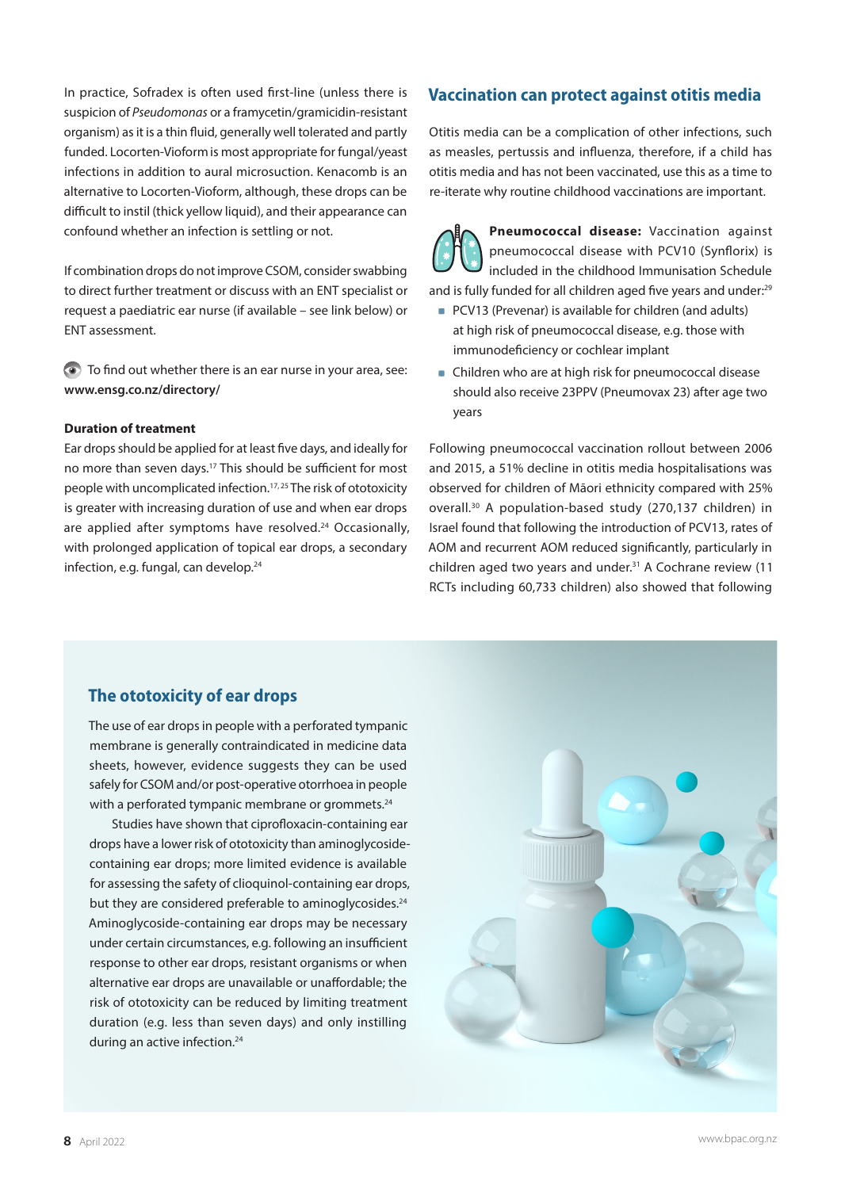In practice, Sofradex is often used first-line (unless there is suspicion of *Pseudomonas* or a framycetin/gramicidin-resistant organism) as it is a thin fluid, generally well tolerated and partly funded. Locorten-Vioformis most appropriate for fungal/yeast infections in addition to aural microsuction. Kenacomb is an alternative to Locorten-Vioform, although, these drops can be difficult to instil (thick yellow liquid), and their appearance can confound whether an infection is settling or not.

If combination drops do not improve CSOM, consider swabbing to direct further treatment or discuss with an ENT specialist or request a paediatric ear nurse (if available – see link below) or ENT assessment.

To find out whether there is an ear nurse in your area, see: **[www.ensg.co.nz/directory/](http://www.ensg.co.nz/directory/)**

#### **Duration of treatment**

Ear drops should be applied for at least five days, and ideally for no more than seven days.<sup>17</sup> This should be sufficient for most people with uncomplicated infection.17, 25 The risk of ototoxicity is greater with increasing duration of use and when ear drops are applied after symptoms have resolved. $24$  Occasionally, with prolonged application of topical ear drops, a secondary infection, e.g. fungal, can develop.<sup>24</sup>

# **Vaccination can protect against otitis media**

Otitis media can be a complication of other infections, such as measles, pertussis and influenza, therefore, if a child has otitis media and has not been vaccinated, use this as a time to re-iterate why routine childhood vaccinations are important.

**Pneumococcal disease:** Vaccination against pneumococcal disease with PCV10 (Synflorix) is included in the childhood Immunisation Schedule and is fully funded for all children aged five years and under:<sup>29</sup>

- PCV13 (Prevenar) is available for children (and adults) at high risk of pneumococcal disease, e.g. those with immunodeficiency or cochlear implant
- Children who are at high risk for pneumococcal disease should also receive 23PPV (Pneumovax 23) after age two years

Following pneumococcal vaccination rollout between 2006 and 2015, a 51% decline in otitis media hospitalisations was observed for children of Māori ethnicity compared with 25% overall.30 A population-based study (270,137 children) in Israel found that following the introduction of PCV13, rates of AOM and recurrent AOM reduced significantly, particularly in children aged two years and under.31 A Cochrane review (11 RCTs including 60,733 children) also showed that following

# **The ototoxicity of ear drops**

The use of ear drops in people with a perforated tympanic membrane is generally contraindicated in medicine data sheets, however, evidence suggests they can be used safely for CSOM and/or post-operative otorrhoea in people with a perforated tympanic membrane or grommets.<sup>24</sup>

Studies have shown that ciprofloxacin-containing ear drops have a lower risk of ototoxicity than aminoglycosidecontaining ear drops; more limited evidence is available for assessing the safety of clioquinol-containing ear drops, but they are considered preferable to aminoglycosides.<sup>24</sup> Aminoglycoside-containing ear drops may be necessary under certain circumstances, e.g. following an insufficient response to other ear drops, resistant organisms or when alternative ear drops are unavailable or unaffordable; the risk of ototoxicity can be reduced by limiting treatment duration (e.g. less than seven days) and only instilling during an active infection.<sup>24</sup>

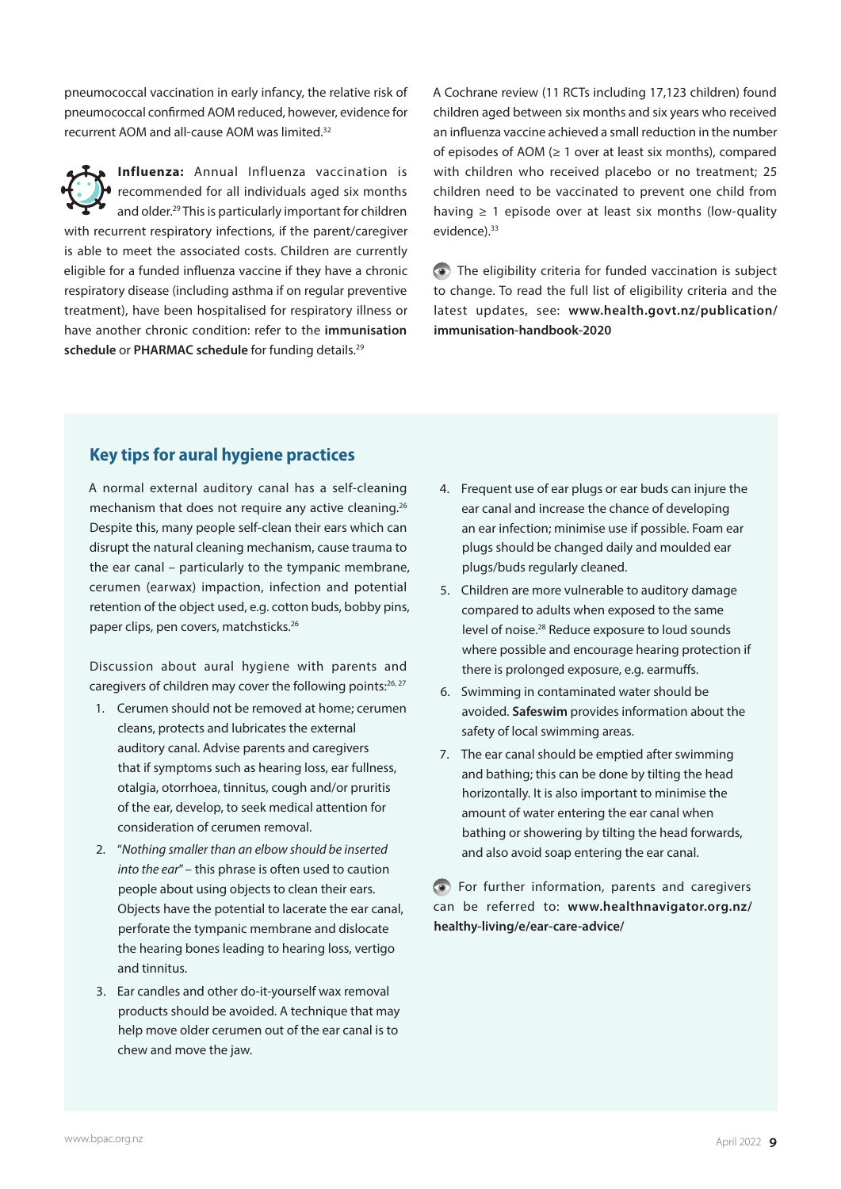pneumococcal vaccination in early infancy, the relative risk of pneumococcal confirmed AOM reduced, however, evidence for recurrent AOM and all-cause AOM was limited.32

**Influenza:** Annual Influenza vaccination is recommended for all individuals aged six months and older.29 This is particularly important for children with recurrent respiratory infections, if the parent/caregiver is able to meet the associated costs. Children are currently eligible for a funded influenza vaccine if they have a chronic respiratory disease (including asthma if on regular preventive treatment), have been hospitalised for respiratory illness or have another chronic condition: refer to the **[immunisation](https://www.health.govt.nz/publication/immunisation-handbook-2020)**  [schedule](https://www.health.govt.nz/publication/immunisation-handbook-2020) or [PHARMAC schedule](https://schedule.pharmac.govt.nz/ScheduleOnline.php?osq=Influenza+vaccine) for funding details.<sup>29</sup>

A Cochrane review (11 RCTs including 17,123 children) found children aged between six months and six years who received an influenza vaccine achieved a small reduction in the number of episodes of AOM (≥ 1 over at least six months), compared with children who received placebo or no treatment; 25 children need to be vaccinated to prevent one child from having  $\geq 1$  episode over at least six months (low-quality evidence).<sup>33</sup>

The eligibility criteria for funded vaccination is subject to change. To read the full list of eligibility criteria and the latest updates, see: **[www.health.govt.nz/publication/](https://www.health.govt.nz/publication/immunisation-handbook-2020) [immunisation-handbook-2020](https://www.health.govt.nz/publication/immunisation-handbook-2020)**

# **Key tips for aural hygiene practices**

A normal external auditory canal has a self-cleaning mechanism that does not require any active cleaning.<sup>26</sup> Despite this, many people self-clean their ears which can disrupt the natural cleaning mechanism, cause trauma to the ear canal – particularly to the tympanic membrane, cerumen (earwax) impaction, infection and potential retention of the object used, e.g. cotton buds, bobby pins, paper clips, pen covers, matchsticks.<sup>26</sup>

Discussion about aural hygiene with parents and caregivers of children may cover the following points: $26, 27$ 

- 1. Cerumen should not be removed at home; cerumen cleans, protects and lubricates the external auditory canal. Advise parents and caregivers that if symptoms such as hearing loss, ear fullness, otalgia, otorrhoea, tinnitus, cough and/or pruritis of the ear, develop, to seek medical attention for consideration of cerumen removal.
- 2. "*Nothing smaller than an elbow should be inserted into the ear*" – this phrase is often used to caution people about using objects to clean their ears. Objects have the potential to lacerate the ear canal, perforate the tympanic membrane and dislocate the hearing bones leading to hearing loss, vertigo and tinnitus.
- 3. Ear candles and other do-it-yourself wax removal products should be avoided. A technique that may help move older cerumen out of the ear canal is to chew and move the jaw.
- 4. Frequent use of ear plugs or ear buds can injure the ear canal and increase the chance of developing an ear infection; minimise use if possible. Foam ear plugs should be changed daily and moulded ear plugs/buds regularly cleaned.
- 5. Children are more vulnerable to auditory damage compared to adults when exposed to the same level of noise.28 Reduce exposure to loud sounds where possible and encourage hearing protection if there is prolonged exposure, e.g. earmuffs.
- 6. Swimming in contaminated water should be avoided. **[Safeswim](https://www.safeswim.org.nz/)** provides information about the safety of local swimming areas.
- 7. The ear canal should be emptied after swimming and bathing; this can be done by tilting the head horizontally. It is also important to minimise the amount of water entering the ear canal when bathing or showering by tilting the head forwards, and also avoid soap entering the ear canal.

For further information, parents and caregivers can be referred to: **[www.healthnavigator.org.nz/](https://www.healthnavigator.org.nz/healthy-living/e/ear-care-advice/) [healthy-living/e/ear-care-advice/](https://www.healthnavigator.org.nz/healthy-living/e/ear-care-advice/)**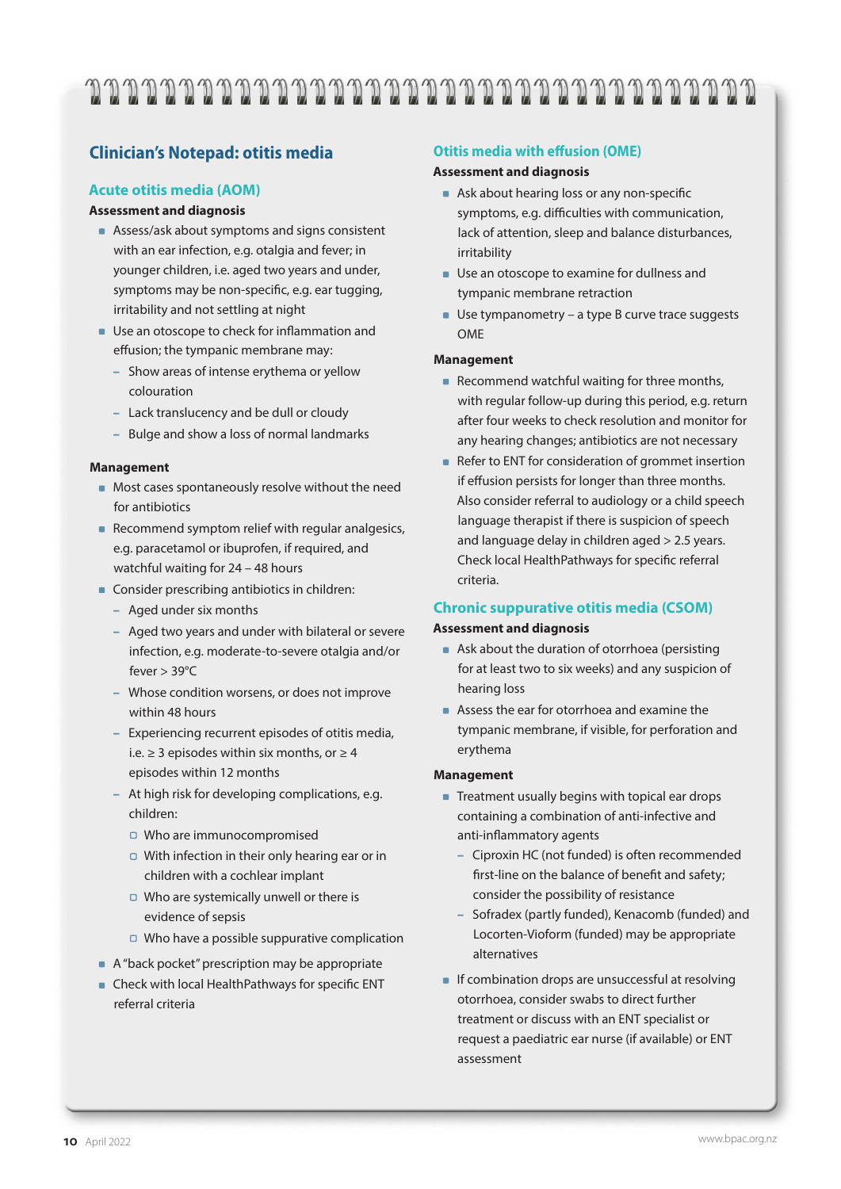# 

# **Clinician's Notepad: otitis media**

## **Acute otitis media (AOM)**

## **Assessment and diagnosis**

- Assess/ask about symptoms and signs consistent with an ear infection, e.g. otalgia and fever; in younger children, i.e. aged two years and under, symptoms may be non-specific, e.g. ear tugging, irritability and not settling at night
- **Use an otoscope to check for inflammation and** effusion; the tympanic membrane may:
	- Show areas of intense erythema or yellow colouration
	- Lack translucency and be dull or cloudy
	- Bulge and show a loss of normal landmarks

## **Management**

- **Most cases spontaneously resolve without the need** for antibiotics
- Recommend symptom relief with regular analgesics, e.g. paracetamol or ibuprofen, if required, and watchful waiting for 24 – 48 hours
- Consider prescribing antibiotics in children:
	- Aged under six months
	- Aged two years and under with bilateral or severe infection, e.g. moderate-to-severe otalgia and/or fever > 39°C
	- Whose condition worsens, or does not improve within 48 hours
	- Experiencing recurrent episodes of otitis media, i.e. ≥ 3 episodes within six months, or  $≥ 4$ episodes within 12 months
	- At high risk for developing complications, e.g. children:
		- □ Who are immunocompromised
		- $\Box$  With infection in their only hearing ear or in children with a cochlear implant
		- $\Box$  Who are systemically unwell or there is evidence of sepsis
		- $\Box$  Who have a possible suppurative complication
- A "back pocket" prescription may be appropriate
- Check with local HealthPathways for specific ENT referral criteria

## **Otitis media with effusion (OME)**

## **Assessment and diagnosis**

- Ask about hearing loss or any non-specific symptoms, e.g. difficulties with communication, lack of attention, sleep and balance disturbances, irritability
- **Use an otoscope to examine for dullness and** tympanic membrane retraction
- $\blacksquare$  Use tympanometry a type B curve trace suggests OME

## **Management**

- Recommend watchful waiting for three months, with regular follow-up during this period, e.g. return after four weeks to check resolution and monitor for any hearing changes; antibiotics are not necessary
- Refer to ENT for consideration of grommet insertion if effusion persists for longer than three months. Also consider referral to audiology or a child speech language therapist if there is suspicion of speech and language delay in children aged > 2.5 years. Check local HealthPathways for specific referral criteria.

# **Chronic suppurative otitis media (CSOM)**

## **Assessment and diagnosis**

- Ask about the duration of otorrhoea (persisting for at least two to six weeks) and any suspicion of hearing loss
- Assess the ear for otorrhoea and examine the tympanic membrane, if visible, for perforation and erythema

#### **Management**

- **Treatment usually begins with topical ear drops** containing a combination of anti-infective and anti-inflammatory agents
	- Ciproxin HC (not funded) is often recommended first-line on the balance of benefit and safety; consider the possibility of resistance
	- Sofradex (partly funded), Kenacomb (funded) and Locorten-Vioform (funded) may be appropriate alternatives
- **If combination drops are unsuccessful at resolving** otorrhoea, consider swabs to direct further treatment or discuss with an ENT specialist or request a paediatric ear nurse (if available) or ENT assessment